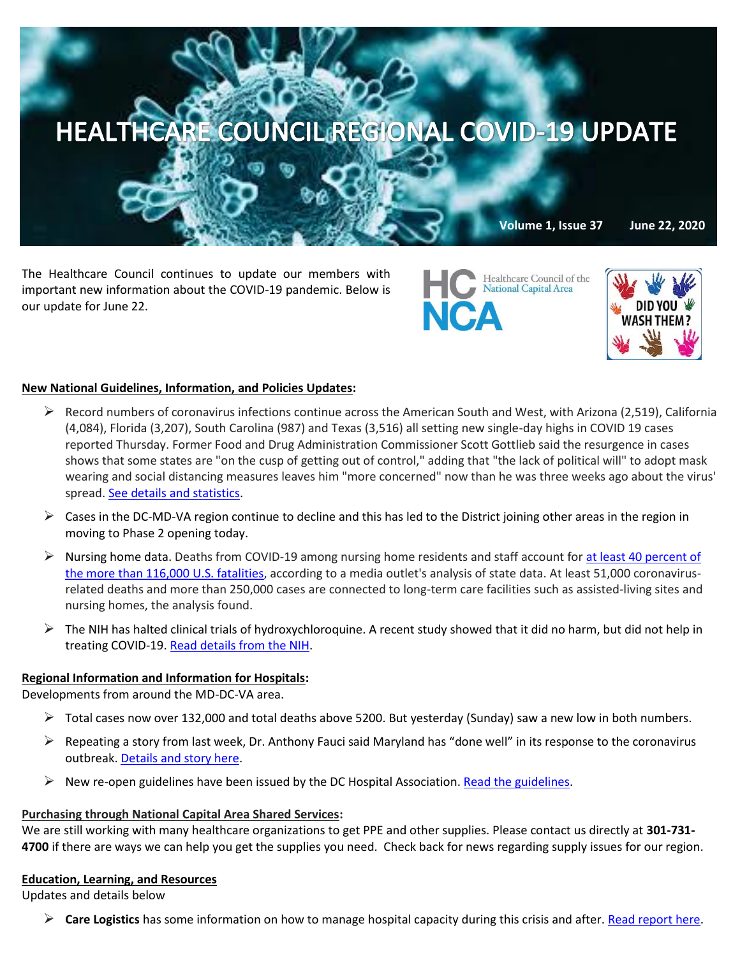

The Healthcare Council continues to update our members with important new information about the COVID-19 pandemic. Below is our update for June 22.



**National Capital Area** 

**NCA** 

#### **New National Guidelines, Information, and Policies Updates:**

- $\triangleright$  Record numbers of coronavirus infections continue across the American South and West, with Arizona (2,519), California (4,084), Florida (3,207), South Carolina (987) and Texas (3,516) all setting new single-day highs in COVID 19 cases reported Thursday. Former Food and Drug Administration Commissioner Scott Gottlieb said the resurgence in cases shows that some states are "on the cusp of getting out of control," adding that "the lack of political will" to adopt mask wearing and social distancing measures leaves him "more concerned" now than he was three weeks ago about the virus' spread. [See details and statistics.](https://www.cnbc.com/2020/06/18/california-arizona-florida-report-record-spikes-in-coronavirus-cases.html?mkt_tok=eyJpIjoiT1Raa01qSTFOakJtWW1VMSIsInQiOiJWQVpEbVR4STBwb0VNOEVxVGJsaFRMS3ZYZUZ0R1dPTDdyZldzQWJTUVowakw3RVNEQkdNNEwxYWp3c1JEWHFTN09xV1licmdvREZpMjBrUGRUc0xUeHo0NllSY0NLb2dSNEFyZzFZSDJZa2hXNFhRUFFVaGs4VVZuOFI5RTNjYSJ9)
- $\triangleright$  Cases in the DC-MD-VA region continue to decline and this has led to the District joining other areas in the region in moving to Phase 2 opening today.
- Nursing home data. Deaths from COVID-19 among nursing home residents and staff account for at least 40 percent of [the more than 116,000 U.S. fatalities,](https://c.morningconsult.com/x0T0000w3Pi0VfA0Rz5CWAM#_blank) according to a media outlet's analysis of state data. At least 51,000 coronavirusrelated deaths and more than 250,000 cases are connected to long-term care facilities such as assisted-living sites and nursing homes, the analysis found.
- $\triangleright$  The NIH has halted clinical trials of hydroxychloroquine. A recent study showed that it did no harm, but did not help in treating COVID-19[. Read details from the NIH.](https://www.nih.gov/news-events/news-releases/nih-halts-clinical-trial-hydroxychloroquine)

#### **Regional Information and Information for Hospitals:**

Developments from around the MD-DC-VA area.

- $\triangleright$  Total cases now over 132,000 and total deaths above 5200. But yesterday (Sunday) saw a new low in both numbers.
- $\triangleright$  Repeating a story from last week, Dr. Anthony Fauci said Maryland has "done well" in its response to the coronavirus outbreak. [Details and story here.](https://baltimore.cbslocal.com/2020/06/17/doctor-anthony-fauci-maryland-coronavirus-response-latest/)
- New re-open guidelines have been issued by the DC Hospital Association[. Read the guidelines.](https://higherlogicdownload.s3.amazonaws.com/DCHA/751f0cb7-ab59-4ad3-8e48-c9a6ec516cea/UploadedImages/Documents/5_28_20_ReOpen_DC_final.pdf)

### **Purchasing through National Capital Area Shared Services:**

We are still working with many healthcare organizations to get PPE and other supplies. Please contact us directly at **301-731- 4700** if there are ways we can help you get the supplies you need. Check back for news regarding supply issues for our region.

#### **Education, Learning, and Resources**

Updates and details below

**Care Logistics** has some information on how to manage hospital capacity during this crisis and after. [Read report here.](https://www.carelogistics.com/core-command?utm_campaign=Channel%20Partner%20Content&utm_medium=email&_hsenc=p2ANqtz-_qpYMFyfK4fmCJI3DUZvrVT9trxxIJxKv6jENKP6g__YuPihOv0YGzHlM2qZyqkr92xjGxCMQfibwU_kNQpeyYNGnlDa4YAT-29rwbG2trEe7kV0g&_hsmi=89767229&utm_content=89423044&utm_source=hs_email&hsCtaTracking=0fdbab14-f503-447e-b28e-840e56976794|aa24233f-85dd-436c-aa8a-017133c4b135)